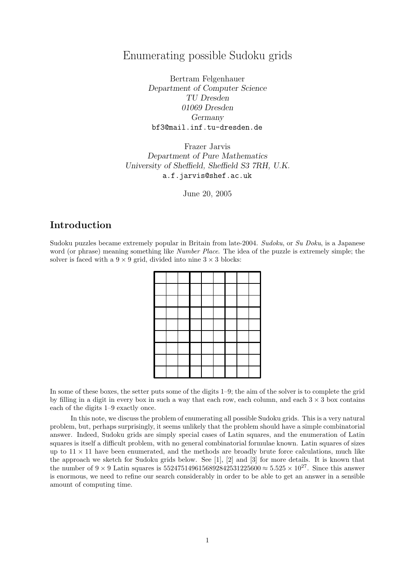# Enumerating possible Sudoku grids

Bertram Felgenhauer Department of Computer Science TU Dresden 01069 Dresden Germany bf3@mail.inf.tu-dresden.de

Frazer Jarvis Department of Pure Mathematics University of Sheffield, Sheffield S3 7RH, U.K. a.f.jarvis@shef.ac.uk

June 20, 2005

# Introduction

Sudoku puzzles became extremely popular in Britain from late-2004. Sudoku, or Su Doku, is a Japanese word (or phrase) meaning something like *Number Place*. The idea of the puzzle is extremely simple; the solver is faced with a  $9 \times 9$  grid, divided into nine  $3 \times 3$  blocks:

In some of these boxes, the setter puts some of the digits 1–9; the aim of the solver is to complete the grid by filling in a digit in every box in such a way that each row, each column, and each  $3 \times 3$  box contains each of the digits 1–9 exactly once.

In this note, we discuss the problem of enumerating all possible Sudoku grids. This is a very natural problem, but, perhaps surprisingly, it seems unlikely that the problem should have a simple combinatorial answer. Indeed, Sudoku grids are simply special cases of Latin squares, and the enumeration of Latin squares is itself a difficult problem, with no general combinatorial formulae known. Latin squares of sizes up to  $11 \times 11$  have been enumerated, and the methods are broadly brute force calculations, much like the approach we sketch for Sudoku grids below. See [1], [2] and [3] for more details. It is known that the number of  $9 \times 9$  Latin squares is 5524751496156892842531225600  $\approx 5.525 \times 10^{27}$ . Since this answer is enormous, we need to refine our search considerably in order to be able to get an answer in a sensible amount of computing time.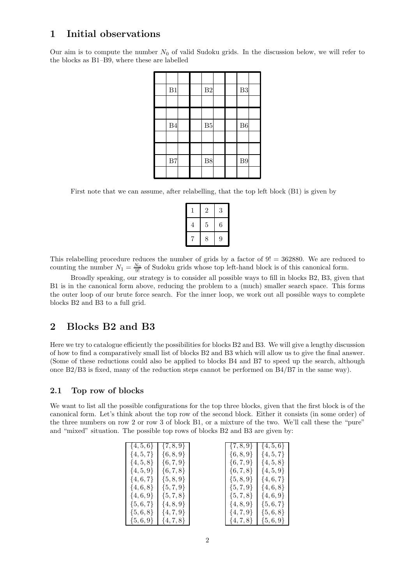## 1 Initial observations

Our aim is to compute the number  $N_0$  of valid Sudoku grids. In the discussion below, we will refer to the blocks as B1–B9, where these are labelled

| B1 |  | B <sub>2</sub> |  | B3 |  |
|----|--|----------------|--|----|--|
|    |  |                |  |    |  |
|    |  |                |  |    |  |
| B4 |  | B <sub>5</sub> |  | B6 |  |
|    |  |                |  |    |  |
|    |  |                |  |    |  |
| B7 |  | B8             |  | B9 |  |
|    |  |                |  |    |  |

First note that we can assume, after relabelling, that the top left block (B1) is given by

| T | $\overline{2}$ | 3 |
|---|----------------|---|
| 4 | 5              | 6 |
|   | 8              | 9 |

This relabelling procedure reduces the number of grids by a factor of 9! = 362880. We are reduced to counting the number  $N_1 = \frac{N_0}{9!}$  of Sudoku grids whose top left-hand block is of this canonical form.

Broadly speaking, our strategy is to consider all possible ways to fill in blocks B2, B3, given that B1 is in the canonical form above, reducing the problem to a (much) smaller search space. This forms the outer loop of our brute force search. For the inner loop, we work out all possible ways to complete blocks B2 and B3 to a full grid.

### 2 Blocks B2 and B3

Here we try to catalogue efficiently the possibilities for blocks B2 and B3. We will give a lengthy discussion of how to find a comparatively small list of blocks B2 and B3 which will allow us to give the final answer. (Some of these reductions could also be applied to blocks B4 and B7 to speed up the search, although once B2/B3 is fixed, many of the reduction steps cannot be performed on B4/B7 in the same way).

### 2.1 Top row of blocks

We want to list all the possible configurations for the top three blocks, given that the first block is of the canonical form. Let's think about the top row of the second block. Either it consists (in some order) of the three numbers on row 2 or row 3 of block B1, or a mixture of the two. We'll call these the "pure" and "mixed" situation. The possible top rows of blocks B2 and B3 are given by:

| $\{4, 5, 6\}$ | $\{7, 8, 9\}$ |
|---------------|---------------|
| $\{4, 5, 7\}$ | $\{6, 8, 9\}$ |
| $\{4, 5, 8\}$ | $\{6, 7, 9\}$ |
| $\{4, 5, 9\}$ | $\{6,7,8\}$   |
| $\{4, 6, 7\}$ | $\{5, 8, 9\}$ |
| $\{4,6,8\}$   | $\{5,7,9\}$   |
| $\{4,6,9\}$   | $\{5,7,8\}$   |
| $\{5,6,7\}$   | $\{4, 8, 9\}$ |
| $\{5,6,8\}$   | $\{4,7,9\}$   |
| {5 6 9}       | 147 SI        |

| $\{4, 5, 6\}$ | $\{7, 8, 9\}$ | $\{7, 8, 9\}$ | $\{4, 5, 6\}$ |
|---------------|---------------|---------------|---------------|
| $\{4, 5, 7\}$ | $\{6, 8, 9\}$ | $\{6, 8, 9\}$ | $\{4, 5, 7\}$ |
| $\{4, 5, 8\}$ | $\{6,7,9\}$   | $\{6,7,9\}$   | $\{4, 5, 8\}$ |
| $\{4, 5, 9\}$ | $\{6,7,8\}$   | $\{6,7,8\}$   | $\{4, 5, 9\}$ |
| $\{4,6,7\}$   | $\{5, 8, 9\}$ | $\{5, 8, 9\}$ | $\{4,6,7\}$   |
| $\{4,6,8\}$   | $\{5,7,9\}$   | $\{5,7,9\}$   | $\{4,6,8\}$   |
| $\{4,6,9\}$   | $\{5,7,8\}$   | $\{5,7,8\}$   | $\{4,6,9\}$   |
| $\{5,6,7\}$   | $\{4, 8, 9\}$ | $\{4, 8, 9\}$ | $\{5,6,7\}$   |
| $\{5,6,8\}$   | $\{4,7,9\}$   | $\{4,7,9\}$   | $\{5,6,8\}$   |
| $\{5,6,9\}$   | $\{4,7,8\}$   | $\{4,7,8\}$   | $\{5,6,9\}$   |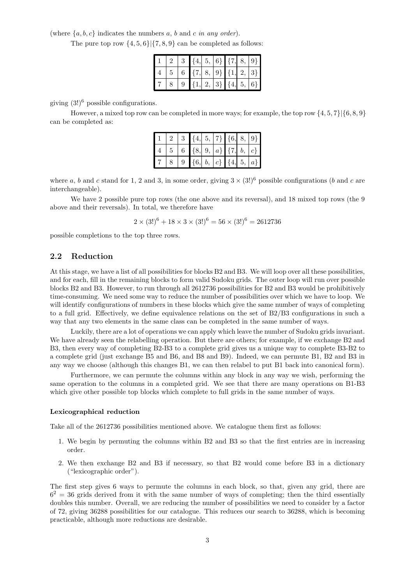(where  $\{a, b, c\}$  indicates the numbers a, b and c in any order).

The pure top row  $\{4, 5, 6\}$   $\{7, 8, 9\}$  can be completed as follows:

|  | $\{4,$                      |  | $5,  6\rangle$ {7, | $8,  9\rangle$ |
|--|-----------------------------|--|--------------------|----------------|
|  | $\{7, 8, 9\}$ $\{1, 2, 3\}$ |  |                    |                |
|  |                             |  | 2, 3 $\{4,  $      | $5,  6\rangle$ |

giving  $(3!)^6$  possible configurations.

However, a mixed top row can be completed in more ways; for example, the top row  $\{4, 5, 7\}$  $\{6, 8, 9\}$ can be completed as:

|  | 2   3   $\{4, 5, 7\}$   $\{6, 8, 9\}$       |  |  |  |
|--|---------------------------------------------|--|--|--|
|  | $4   5   6   {8,   9,   a}   {7,   b,   c}$ |  |  |  |
|  | 9 $\{6, b, c\}$ {4, 5, a}                   |  |  |  |

where a, b and c stand for 1, 2 and 3, in some order, giving  $3 \times (3!)^6$  possible configurations (b and c are interchangeable).

We have 2 possible pure top rows (the one above and its reversal), and 18 mixed top rows (the 9 above and their reversals). In total, we therefore have

$$
2 \times (3!)^{6} + 18 \times 3 \times (3!)^{6} = 56 \times (3!)^{6} = 2612736
$$

possible completions to the top three rows.

### 2.2 Reduction

At this stage, we have a list of all possibilities for blocks B2 and B3. We will loop over all these possibilities, and for each, fill in the remaining blocks to form valid Sudoku grids. The outer loop will run over possible blocks B2 and B3. However, to run through all 2612736 possibilities for B2 and B3 would be prohibitively time-consuming. We need some way to reduce the number of possibilities over which we have to loop. We will identify configurations of numbers in these blocks which give the same number of ways of completing to a full grid. Effectively, we define equivalence relations on the set of B2/B3 configurations in such a way that any two elements in the same class can be completed in the same number of ways.

Luckily, there are a lot of operations we can apply which leave the number of Sudoku grids invariant. We have already seen the relabelling operation. But there are others; for example, if we exchange B2 and B3, then every way of completing B2-B3 to a complete grid gives us a unique way to complete B3-B2 to a complete grid (just exchange B5 and B6, and B8 and B9). Indeed, we can permute B1, B2 and B3 in any way we choose (although this changes B1, we can then relabel to put B1 back into canonical form).

Furthermore, we can permute the columns within any block in any way we wish, performing the same operation to the columns in a completed grid. We see that there are many operations on B1-B3 which give other possible top blocks which complete to full grids in the same number of ways.

#### Lexicographical reduction

Take all of the 2612736 possibilities mentioned above. We catalogue them first as follows:

- 1. We begin by permuting the columns within B2 and B3 so that the first entries are in increasing order.
- 2. We then exchange B2 and B3 if necessary, so that B2 would come before B3 in a dictionary ("lexicographic order").

The first step gives 6 ways to permute the columns in each block, so that, given any grid, there are  $6<sup>2</sup> = 36$  grids derived from it with the same number of ways of completing; then the third essentially doubles this number. Overall, we are reducing the number of possibilities we need to consider by a factor of 72, giving 36288 possibilities for our catalogue. This reduces our search to 36288, which is becoming practicable, although more reductions are desirable.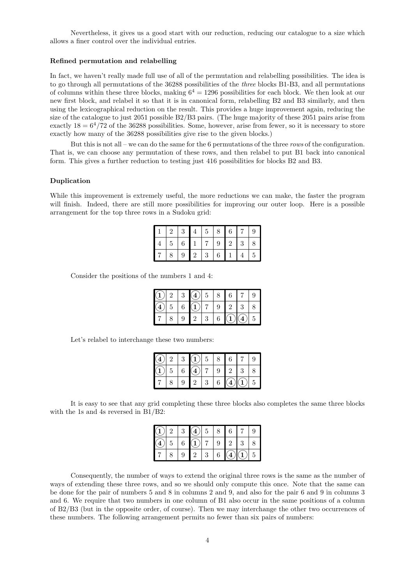Nevertheless, it gives us a good start with our reduction, reducing our catalogue to a size which allows a finer control over the individual entries.

#### Refined permutation and relabelling

In fact, we haven't really made full use of all of the permutation and relabelling possibilities. The idea is to go through all permutations of the 36288 possibilities of the three blocks B1-B3, and all permutations of columns within these three blocks, making  $6^4 = 1296$  possibilities for each block. We then look at our new first block, and relabel it so that it is in canonical form, relabelling B2 and B3 similarly, and then using the lexicographical reduction on the result. This provides a huge improvement again, reducing the size of the catalogue to just 2051 possible B2/B3 pairs. (The huge majority of these 2051 pairs arise from exactly  $18 = 6<sup>4</sup>/72$  of the 36288 possibilities. Some, however, arise from fewer, so it is necessary to store exactly how many of the 36288 possibilities give rise to the given blocks.)

But this is not all – we can do the same for the 6 permutations of the three rows of the configuration. That is, we can choose any permutation of these rows, and then relabel to put B1 back into canonical form. This gives a further reduction to testing just 416 possibilities for blocks B2 and B3.

#### Duplication

While this improvement is extremely useful, the more reductions we can make, the faster the program will finish. Indeed, there are still more possibilities for improving our outer loop. Here is a possible arrangement for the top three rows in a Sudoku grid:

| $\overline{2}$ | 3       | $\overline{4}$ | 5 | 8                | 6              |                | 9 |
|----------------|---------|----------------|---|------------------|----------------|----------------|---|
| $\overline{5}$ | $\,6\,$ |                |   | $\boldsymbol{9}$ | $\overline{2}$ | 3              | 8 |
| 8              | 9       | $\overline{2}$ | 3 | $\boldsymbol{6}$ |                | $\overline{4}$ | 5 |

Consider the positions of the numbers 1 and 4:

| ാ | 9 |                | 5 |   | 6              |   |   |
|---|---|----------------|---|---|----------------|---|---|
| ð | 6 |                |   | 9 | $\overline{2}$ | 3 |   |
|   | 9 | $\overline{2}$ | 3 | 6 |                |   | Ð |

Let's relabel to interchange these two numbers:

| $\frac{4}{3}$ |                 | 3 <sup>1</sup> | $\mathbf{1}$      | $5\phantom{.0}$  | 8              | $6\phantom{.}6$ |            | 9              |
|---------------|-----------------|----------------|-------------------|------------------|----------------|-----------------|------------|----------------|
| 1)            | $5\overline{)}$ | $\,6\,$        | $\left( 4\right)$ |                  |                | $9 \t2$         | $\sqrt{3}$ |                |
|               |                 | 9              | $\overline{2}$    | $\boldsymbol{3}$ | $6\phantom{.}$ |                 |            | $\overline{5}$ |

It is easy to see that any grid completing these three blocks also completes the same three blocks with the 1s and 4s reversed in B1/B2:

|                | 2 <sup>1</sup> |   | $3\vert(4)\vert 5$         |                | 8               | $\overline{6}$ |                |   |
|----------------|----------------|---|----------------------------|----------------|-----------------|----------------|----------------|---|
| $\overline{4}$ |                |   | $5 \mid 6 \mid (1) \mid 7$ |                | 9 <sup>1</sup>  | $\mathbf{1}$ 2 | $\overline{3}$ |   |
|                |                | 9 | $\overline{2}$             | 3 <sup>3</sup> | $6\overline{6}$ |                |                | 5 |

Consequently, the number of ways to extend the original three rows is the same as the number of ways of extending these three rows, and so we should only compute this once. Note that the same can be done for the pair of numbers 5 and 8 in columns 2 and 9, and also for the pair 6 and 9 in columns 3 and 6. We require that two numbers in one column of B1 also occur in the same positions of a column of B2/B3 (but in the opposite order, of course). Then we may interchange the other two occurrences of these numbers. The following arrangement permits no fewer than six pairs of numbers: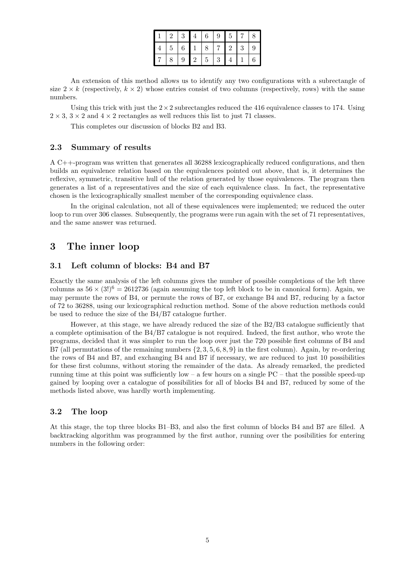|  |                | 3 <sup>1</sup>  | $\overline{4}$ | 6              | $\boldsymbol{9}$ | 5              |                  |   |
|--|----------------|-----------------|----------------|----------------|------------------|----------------|------------------|---|
|  | $\overline{5}$ | $6\phantom{.}6$ |                | 8              | 7 <sup>1</sup>   | $\overline{2}$ | $\boldsymbol{3}$ | 9 |
|  |                | 9               | $\cdot$ 2      | $\overline{5}$ | 3                |                |                  | 6 |

An extension of this method allows us to identify any two configurations with a subrectangle of size  $2 \times k$  (respectively,  $k \times 2$ ) whose entries consist of two columns (respectively, rows) with the same numbers.

Using this trick with just the  $2 \times 2$  subrectangles reduced the 416 equivalence classes to 174. Using  $2 \times 3$ ,  $3 \times 2$  and  $4 \times 2$  rectangles as well reduces this list to just 71 classes.

This completes our discussion of blocks B2 and B3.

#### 2.3 Summary of results

A C++-program was written that generates all 36288 lexicographically reduced configurations, and then builds an equivalence relation based on the equivalences pointed out above, that is, it determines the reflexive, symmetric, transitive hull of the relation generated by those equivalences. The program then generates a list of a representatives and the size of each equivalence class. In fact, the representative chosen is the lexicographically smallest member of the corresponding equivalence class.

In the original calculation, not all of these equivalences were implemented; we reduced the outer loop to run over 306 classes. Subsequently, the programs were run again with the set of 71 representatives, and the same answer was returned.

## 3 The inner loop

### 3.1 Left column of blocks: B4 and B7

Exactly the same analysis of the left columns gives the number of possible completions of the left three columns as  $56 \times (3!)^6 = 2612736$  (again assuming the top left block to be in canonical form). Again, we may permute the rows of B4, or permute the rows of B7, or exchange B4 and B7, reducing by a factor of 72 to 36288, using our lexicographical reduction method. Some of the above reduction methods could be used to reduce the size of the B4/B7 catalogue further.

However, at this stage, we have already reduced the size of the B2/B3 catalogue sufficiently that a complete optimisation of the B4/B7 catalogue is not required. Indeed, the first author, who wrote the programs, decided that it was simpler to run the loop over just the 720 possible first columns of B4 and B7 (all permutations of the remaining numbers  $\{2, 3, 5, 6, 8, 9\}$  in the first column). Again, by re-ordering the rows of B4 and B7, and exchanging B4 and B7 if necessary, we are reduced to just 10 possibilities for these first columns, without storing the remainder of the data. As already remarked, the predicted running time at this point was sufficiently low – a few hours on a single  $PC$  – that the possible speed-up gained by looping over a catalogue of possibilities for all of blocks B4 and B7, reduced by some of the methods listed above, was hardly worth implementing.

#### 3.2 The loop

At this stage, the top three blocks B1–B3, and also the first column of blocks B4 and B7 are filled. A backtracking algorithm was programmed by the first author, running over the posibilities for entering numbers in the following order: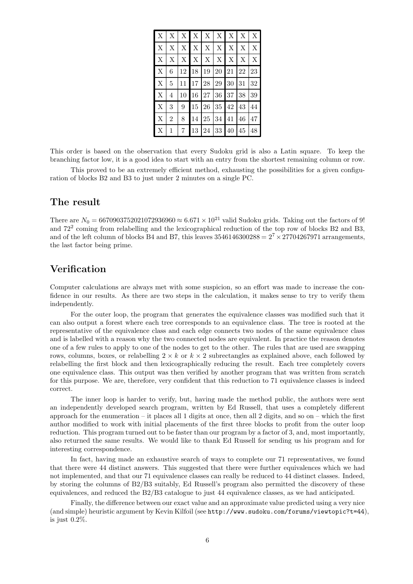| X           | X              |       | $X \mid X$ | $\vert$ X |                | $X \mid X$   | X      | X           |
|-------------|----------------|-------|------------|-----------|----------------|--------------|--------|-------------|
| $\mathbf X$ | X              |       | $X \mid X$ | X         | X              | X            | X      | X           |
| $\mathbf X$ | X              |       | $X$ $X$    | X         | X <sub>1</sub> | $\mathbf{X}$ | X      | $\mathbf X$ |
| X           | 6              | 12 18 |            | 19        | 20 21          |              | 22     | 23          |
| X           | 5              | 11    | 17 28      |           | 29             | 30           | 31     | 32          |
| $\mathbf X$ | 4              | 10    | 16         | 27        | 36             | 37           | 38     | 39          |
| $\mathbf X$ | 3              | 9     | $15\,$     | 26        | 35 42          |              | $43\,$ | 44          |
| $\mathbf X$ | $\overline{2}$ | 8     | 14         | 25        | 34             | 41           | 46     | 47          |
| Х           | 1              | 7     | 13         | 24        | 33             | 40           | 45     | 48          |

This order is based on the observation that every Sudoku grid is also a Latin square. To keep the branching factor low, it is a good idea to start with an entry from the shortest remaining column or row.

This proved to be an extremely efficient method, exhausting the possibilities for a given configuration of blocks B2 and B3 to just under 2 minutes on a single PC.

### The result

There are  $N_0 = 6670903752021072936960 \approx 6.671 \times 10^{21}$  valid Sudoku grids. Taking out the factors of 9! and  $72^2$  coming from relabelling and the lexicographical reduction of the top row of blocks B2 and B3, and of the left column of blocks B4 and B7, this leaves  $3546146300288 = 2^7 \times 27704267971$  arrangements, the last factor being prime.

## Verification

Computer calculations are always met with some suspicion, so an effort was made to increase the confidence in our results. As there are two steps in the calculation, it makes sense to try to verify them independently.

For the outer loop, the program that generates the equivalence classes was modified such that it can also output a forest where each tree corresponds to an equivalence class. The tree is rooted at the representative of the equivalence class and each edge connects two nodes of the same equivalence class and is labelled with a reason why the two connected nodes are equivalent. In practice the reason denotes one of a few rules to apply to one of the nodes to get to the other. The rules that are used are swapping rows, columns, boxes, or relabelling  $2 \times k$  or  $k \times 2$  subrectangles as explained above, each followed by relabelling the first block and then lexicographically reducing the result. Each tree completely covers one equivalence class. This output was then verified by another program that was written from scratch for this purpose. We are, therefore, very confident that this reduction to 71 equivalence classes is indeed correct.

The inner loop is harder to verify, but, having made the method public, the authors were sent an independently developed search program, written by Ed Russell, that uses a completely different approach for the enumeration – it places all 1 digits at once, then all 2 digits, and so on – which the first author modified to work with initial placements of the first three blocks to profit from the outer loop reduction. This program turned out to be faster than our program by a factor of 3, and, most importantly, also returned the same results. We would like to thank Ed Russell for sending us his program and for interesting correspondence.

In fact, having made an exhaustive search of ways to complete our 71 representatives, we found that there were 44 distinct answers. This suggested that there were further equivalences which we had not implemented, and that our 71 equivalence classes can really be reduced to 44 distinct classes. Indeed, by storing the columns of B2/B3 suitably, Ed Russell's program also permitted the discovery of these equivalences, and reduced the B2/B3 catalogue to just 44 equivalence classes, as we had anticipated.

Finally, the difference between our exact value and an approximate value predicted using a very nice (and simple) heuristic argument by Kevin Kilfoil (see http://www.sudoku.com/forums/viewtopic?t=44), is just 0.2%.